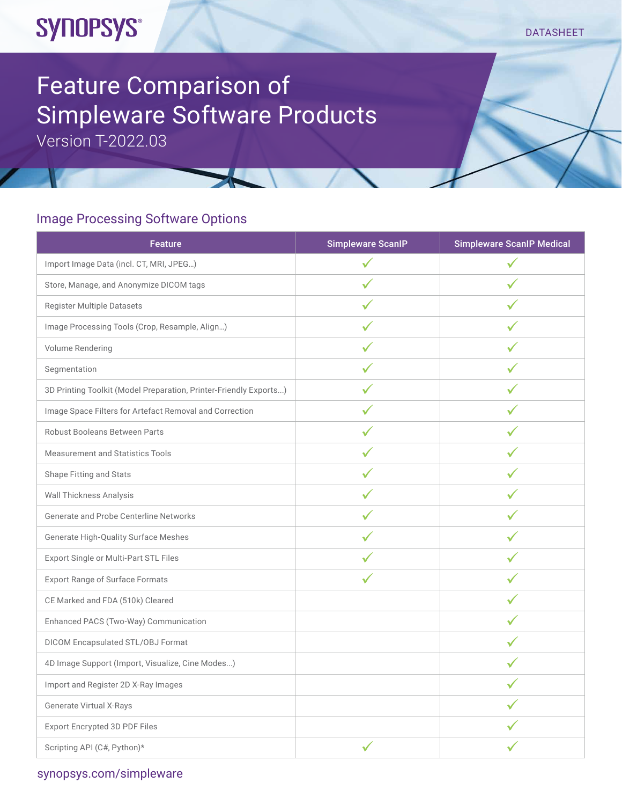## **SYNOPSYS®**

#### DATASHEET

# Feature Comparison of Simpleware Software Products

Version T-2022.03

## Image Processing Software Options

| <b>Feature</b>                                                    | <b>Simpleware ScanlP</b> | <b>Simpleware ScanlP Medical</b> |
|-------------------------------------------------------------------|--------------------------|----------------------------------|
| Import Image Data (incl. CT, MRI, JPEG)                           | $\checkmark$             | $\checkmark$                     |
| Store, Manage, and Anonymize DICOM tags                           | ✓                        |                                  |
| Register Multiple Datasets                                        | ✓                        | ✓                                |
| Image Processing Tools (Crop, Resample, Align)                    | ✓                        |                                  |
| Volume Rendering                                                  | ✓                        | ✓                                |
| Segmentation                                                      |                          |                                  |
| 3D Printing Toolkit (Model Preparation, Printer-Friendly Exports) | $\checkmark$             | ✓                                |
| Image Space Filters for Artefact Removal and Correction           | ✓                        |                                  |
| Robust Booleans Between Parts                                     | ✓                        | ✓                                |
| <b>Measurement and Statistics Tools</b>                           | ✓                        |                                  |
| Shape Fitting and Stats                                           | ✓                        | ✓                                |
| <b>Wall Thickness Analysis</b>                                    |                          |                                  |
| Generate and Probe Centerline Networks                            | ✓                        | ✓                                |
| Generate High-Quality Surface Meshes                              |                          |                                  |
| Export Single or Multi-Part STL Files                             | ✓                        | ✓                                |
| <b>Export Range of Surface Formats</b>                            |                          |                                  |
| CE Marked and FDA (510k) Cleared                                  |                          | ✓                                |
| Enhanced PACS (Two-Way) Communication                             |                          |                                  |
| DICOM Encapsulated STL/OBJ Format                                 |                          | ✓                                |
| 4D Image Support (Import, Visualize, Cine Modes)                  |                          |                                  |
| Import and Register 2D X-Ray Images                               |                          | ✓                                |
| Generate Virtual X-Rays                                           |                          |                                  |
| Export Encrypted 3D PDF Files                                     |                          | ✓                                |
| Scripting API (C#, Python)*                                       |                          |                                  |

### [synopsys.com/](https://www.synopsys.com/simpleware.html)simpleware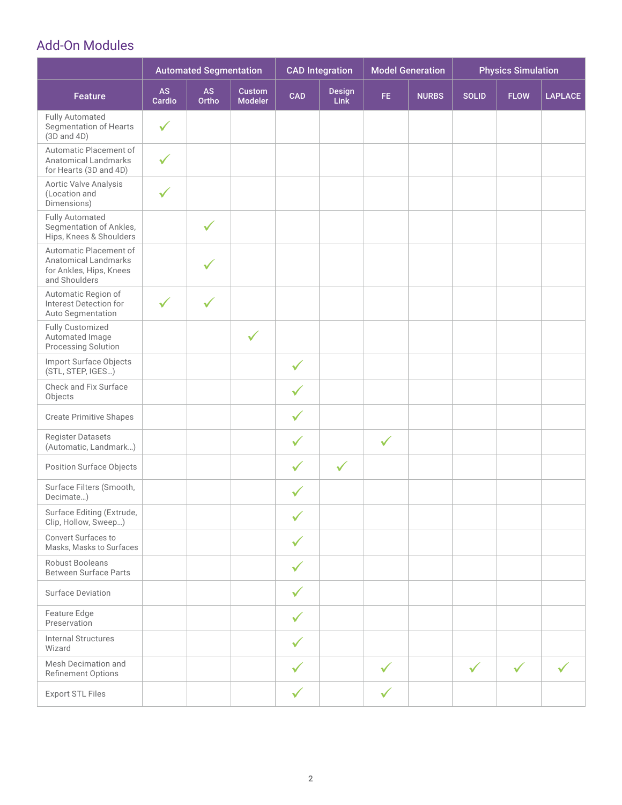## Add-On Modules

|                                                                                                   | <b>Automated Segmentation</b> |                    | <b>CAD Integration</b>          |              | <b>Model Generation</b>      |              | <b>Physics Simulation</b> |              |              |                |
|---------------------------------------------------------------------------------------------------|-------------------------------|--------------------|---------------------------------|--------------|------------------------------|--------------|---------------------------|--------------|--------------|----------------|
| <b>Feature</b>                                                                                    | <b>AS</b><br>Cardio           | <b>AS</b><br>Ortho | <b>Custom</b><br><b>Modeler</b> | <b>CAD</b>   | <b>Design</b><br><b>Link</b> | FE.          | <b>NURBS</b>              | <b>SOLID</b> | <b>FLOW</b>  | <b>LAPLACE</b> |
| <b>Fully Automated</b><br>Segmentation of Hearts<br>$(3D \text{ and } 4D)$                        | $\checkmark$                  |                    |                                 |              |                              |              |                           |              |              |                |
| Automatic Placement of<br><b>Anatomical Landmarks</b><br>for Hearts (3D and 4D)                   | $\checkmark$                  |                    |                                 |              |                              |              |                           |              |              |                |
| Aortic Valve Analysis<br>(Location and<br>Dimensions)                                             | $\checkmark$                  |                    |                                 |              |                              |              |                           |              |              |                |
| <b>Fully Automated</b><br>Segmentation of Ankles,<br>Hips, Knees & Shoulders                      |                               | ✓                  |                                 |              |                              |              |                           |              |              |                |
| Automatic Placement of<br><b>Anatomical Landmarks</b><br>for Ankles, Hips, Knees<br>and Shoulders |                               | ✓                  |                                 |              |                              |              |                           |              |              |                |
| Automatic Region of<br>Interest Detection for<br>Auto Segmentation                                | $\checkmark$                  | $\checkmark$       |                                 |              |                              |              |                           |              |              |                |
| Fully Customized<br>Automated Image<br>Processing Solution                                        |                               |                    | $\checkmark$                    |              |                              |              |                           |              |              |                |
| Import Surface Objects<br>(STL, STEP, IGES)                                                       |                               |                    |                                 | $\checkmark$ |                              |              |                           |              |              |                |
| Check and Fix Surface<br>Objects                                                                  |                               |                    |                                 | $\checkmark$ |                              |              |                           |              |              |                |
| <b>Create Primitive Shapes</b>                                                                    |                               |                    |                                 | $\checkmark$ |                              |              |                           |              |              |                |
| <b>Register Datasets</b><br>(Automatic, Landmark)                                                 |                               |                    |                                 | $\checkmark$ |                              | $\checkmark$ |                           |              |              |                |
| <b>Position Surface Objects</b>                                                                   |                               |                    |                                 | $\checkmark$ | $\checkmark$                 |              |                           |              |              |                |
| Surface Filters (Smooth,<br>Decimate)                                                             |                               |                    |                                 | $\checkmark$ |                              |              |                           |              |              |                |
| Surface Editing (Extrude,<br>Clip, Hollow, Sweep)                                                 |                               |                    |                                 | $\checkmark$ |                              |              |                           |              |              |                |
| Convert Surfaces to<br>Masks, Masks to Surfaces                                                   |                               |                    |                                 | $\checkmark$ |                              |              |                           |              |              |                |
| Robust Booleans<br><b>Between Surface Parts</b>                                                   |                               |                    |                                 | $\checkmark$ |                              |              |                           |              |              |                |
| <b>Surface Deviation</b>                                                                          |                               |                    |                                 | $\checkmark$ |                              |              |                           |              |              |                |
| Feature Edge<br>Preservation                                                                      |                               |                    |                                 | $\checkmark$ |                              |              |                           |              |              |                |
| <b>Internal Structures</b><br>Wizard                                                              |                               |                    |                                 | $\checkmark$ |                              |              |                           |              |              |                |
| Mesh Decimation and<br>Refinement Options                                                         |                               |                    |                                 | $\checkmark$ |                              | $\checkmark$ |                           | $\checkmark$ | $\checkmark$ | $\checkmark$   |
| <b>Export STL Files</b>                                                                           |                               |                    |                                 | $\checkmark$ |                              | ✓            |                           |              |              |                |